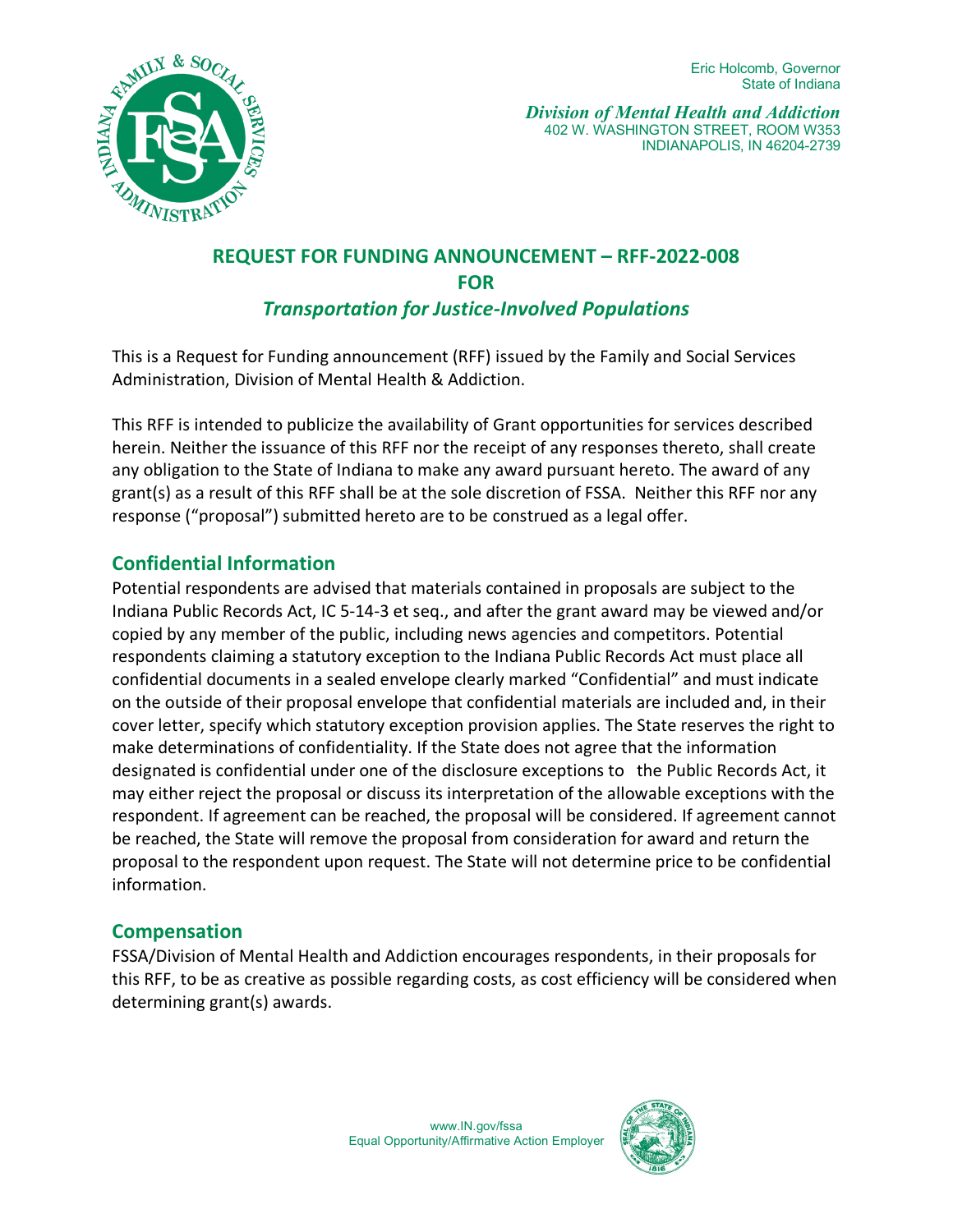

# **REQUEST FOR FUNDING ANNOUNCEMENT – RFF-2022-008 FOR** *Transportation for Justice-Involved Populations*

This is a Request for Funding announcement (RFF) issued by the Family and Social Services Administration, Division of Mental Health & Addiction.

This RFF is intended to publicize the availability of Grant opportunities for services described herein. Neither the issuance of this RFF nor the receipt of any responses thereto, shall create any obligation to the State of Indiana to make any award pursuant hereto. The award of any grant(s) as a result of this RFF shall be at the sole discretion of FSSA. Neither this RFF nor any response ("proposal") submitted hereto are to be construed as a legal offer.

# **Confidential Information**

Potential respondents are advised that materials contained in proposals are subject to the Indiana Public Records Act, IC 5-14-3 et seq., and after the grant award may be viewed and/or copied by any member of the public, including news agencies and competitors. Potential respondents claiming a statutory exception to the Indiana Public Records Act must place all confidential documents in a sealed envelope clearly marked "Confidential" and must indicate on the outside of their proposal envelope that confidential materials are included and, in their cover letter, specify which statutory exception provision applies. The State reserves the right to make determinations of confidentiality. If the State does not agree that the information designated is confidential under one of the disclosure exceptions to the Public Records Act, it may either reject the proposal or discuss its interpretation of the allowable exceptions with the respondent. If agreement can be reached, the proposal will be considered. If agreement cannot be reached, the State will remove the proposal from consideration for award and return the proposal to the respondent upon request. The State will not determine price to be confidential information.

#### **Compensation**

FSSA/Division of Mental Health and Addiction encourages respondents, in their proposals for this RFF, to be as creative as possible regarding costs, as cost efficiency will be considered when determining grant(s) awards.

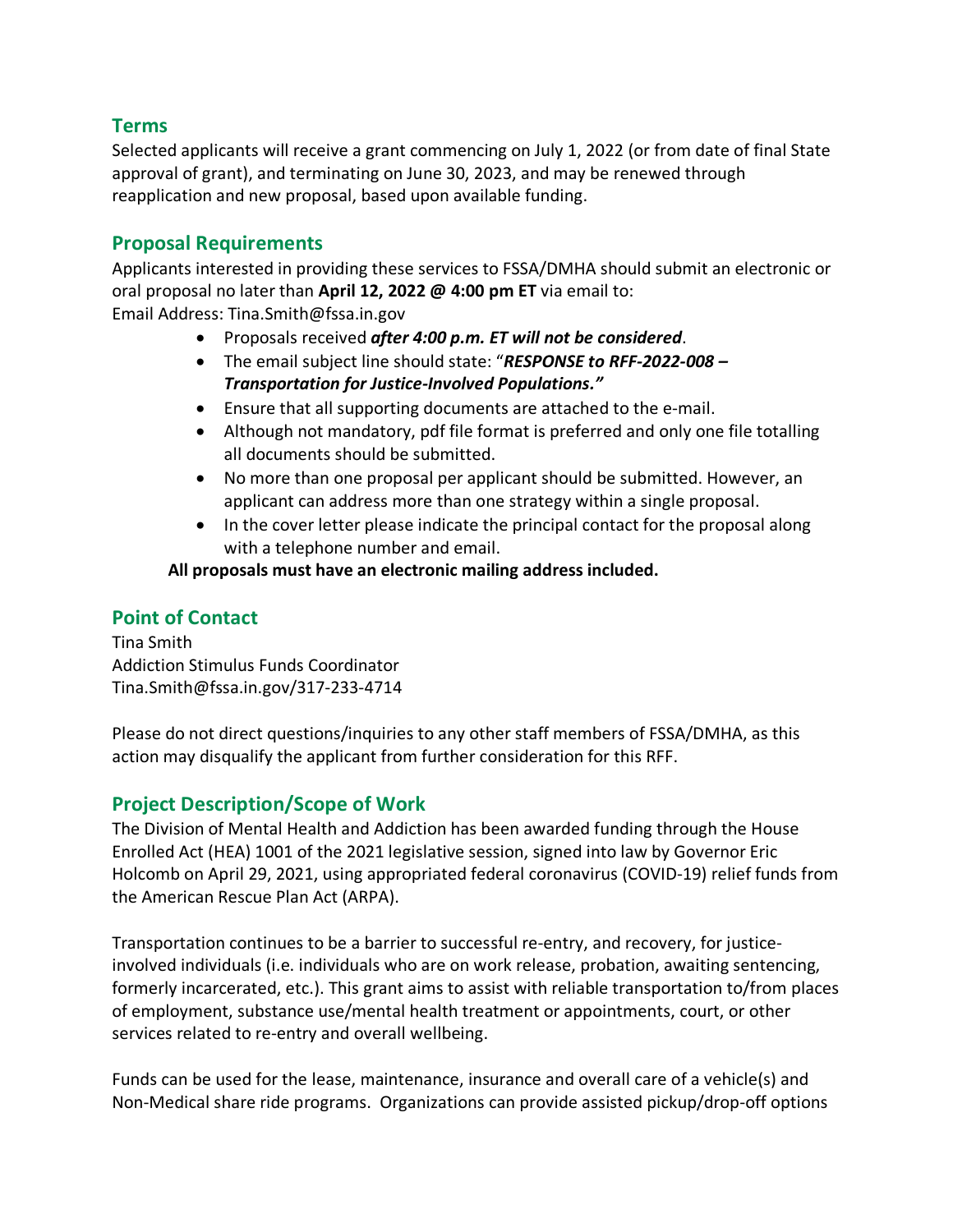#### **Terms**

Selected applicants will receive a grant commencing on July 1, 2022 (or from date of final State approval of grant), and terminating on June 30, 2023, and may be renewed through reapplication and new proposal, based upon available funding.

### **Proposal Requirements**

Applicants interested in providing these services to FSSA/DMHA should submit an electronic or oral proposal no later than **April 12, 2022 @ 4:00 pm ET** via email to:

Email Address: Tina.Smith@fssa.in.gov

- Proposals received *after 4:00 p.m. ET will not be considered*.
- The email subject line should state: "*RESPONSE to RFF-2022-008 Transportation for Justice-Involved Populations."*
- Ensure that all supporting documents are attached to the e-mail.
- Although not mandatory, pdf file format is preferred and only one file totalling all documents should be submitted.
- No more than one proposal per applicant should be submitted. However, an applicant can address more than one strategy within a single proposal.
- In the cover letter please indicate the principal contact for the proposal along with a telephone number and email.

**All proposals must have an electronic mailing address included.** 

#### **Point of Contact**

Tina Smith Addiction Stimulus Funds Coordinator Tina.Smith@fssa.in.gov/317-233-4714

Please do not direct questions/inquiries to any other staff members of FSSA/DMHA, as this action may disqualify the applicant from further consideration for this RFF.

#### **Project Description/Scope of Work**

The Division of Mental Health and Addiction has been awarded funding through the House Enrolled Act (HEA) 1001 of the 2021 legislative session, signed into law by Governor Eric Holcomb on April 29, 2021, using appropriated federal coronavirus (COVID-19) relief funds from the American Rescue Plan Act (ARPA).

Transportation continues to be a barrier to successful re-entry, and recovery, for justiceinvolved individuals (i.e. individuals who are on work release, probation, awaiting sentencing, formerly incarcerated, etc.). This grant aims to assist with reliable transportation to/from places of employment, substance use/mental health treatment or appointments, court, or other services related to re-entry and overall wellbeing.

Funds can be used for the lease, maintenance, insurance and overall care of a vehicle(s) and Non-Medical share ride programs. Organizations can provide assisted pickup/drop-off options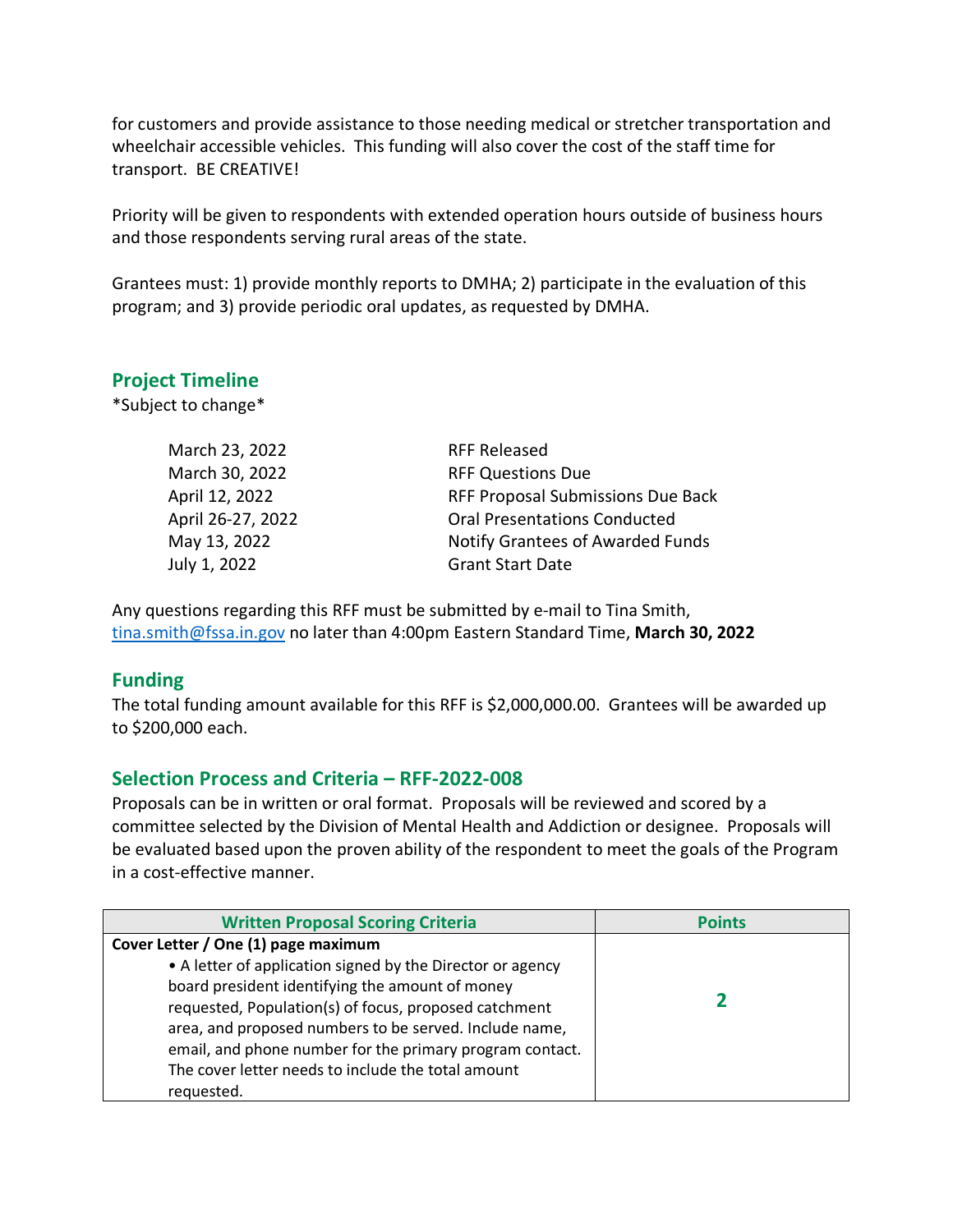for customers and provide assistance to those needing medical or stretcher transportation and wheelchair accessible vehicles. This funding will also cover the cost of the staff time for transport. BE CREATIVE!

Priority will be given to respondents with extended operation hours outside of business hours and those respondents serving rural areas of the state.

Grantees must: 1) provide monthly reports to DMHA; 2) participate in the evaluation of this program; and 3) provide periodic oral updates, as requested by DMHA.

## **Project Timeline**

\*Subject to change\*

| March 23, 2022    | <b>RFF Released</b>                 |  |
|-------------------|-------------------------------------|--|
| March 30, 2022    | <b>RFF Questions Due</b>            |  |
| April 12, 2022    | RFF Proposal Submissions Due Back   |  |
| April 26-27, 2022 | <b>Oral Presentations Conducted</b> |  |
| May 13, 2022      | Notify Grantees of Awarded Funds    |  |
| July 1, 2022      | <b>Grant Start Date</b>             |  |

Any questions regarding this RFF must be submitted by e-mail to Tina Smith, [tina.smith@fssa.in.gov](mailto:tina.smith@fssa.in.gov) no later than 4:00pm Eastern Standard Time, **March 30, 2022**

#### **Funding**

The total funding amount available for this RFF is \$2,000,000.00. Grantees will be awarded up to \$200,000 each.

#### **Selection Process and Criteria – RFF-2022-008**

Proposals can be in written or oral format. Proposals will be reviewed and scored by a committee selected by the Division of Mental Health and Addiction or designee. Proposals will be evaluated based upon the proven ability of the respondent to meet the goals of the Program in a cost-effective manner.

| <b>Written Proposal Scoring Criteria</b>                   | <b>Points</b> |
|------------------------------------------------------------|---------------|
| Cover Letter / One (1) page maximum                        |               |
| • A letter of application signed by the Director or agency |               |
| board president identifying the amount of money            |               |
| requested, Population(s) of focus, proposed catchment      |               |
| area, and proposed numbers to be served. Include name,     |               |
| email, and phone number for the primary program contact.   |               |
| The cover letter needs to include the total amount         |               |
| requested.                                                 |               |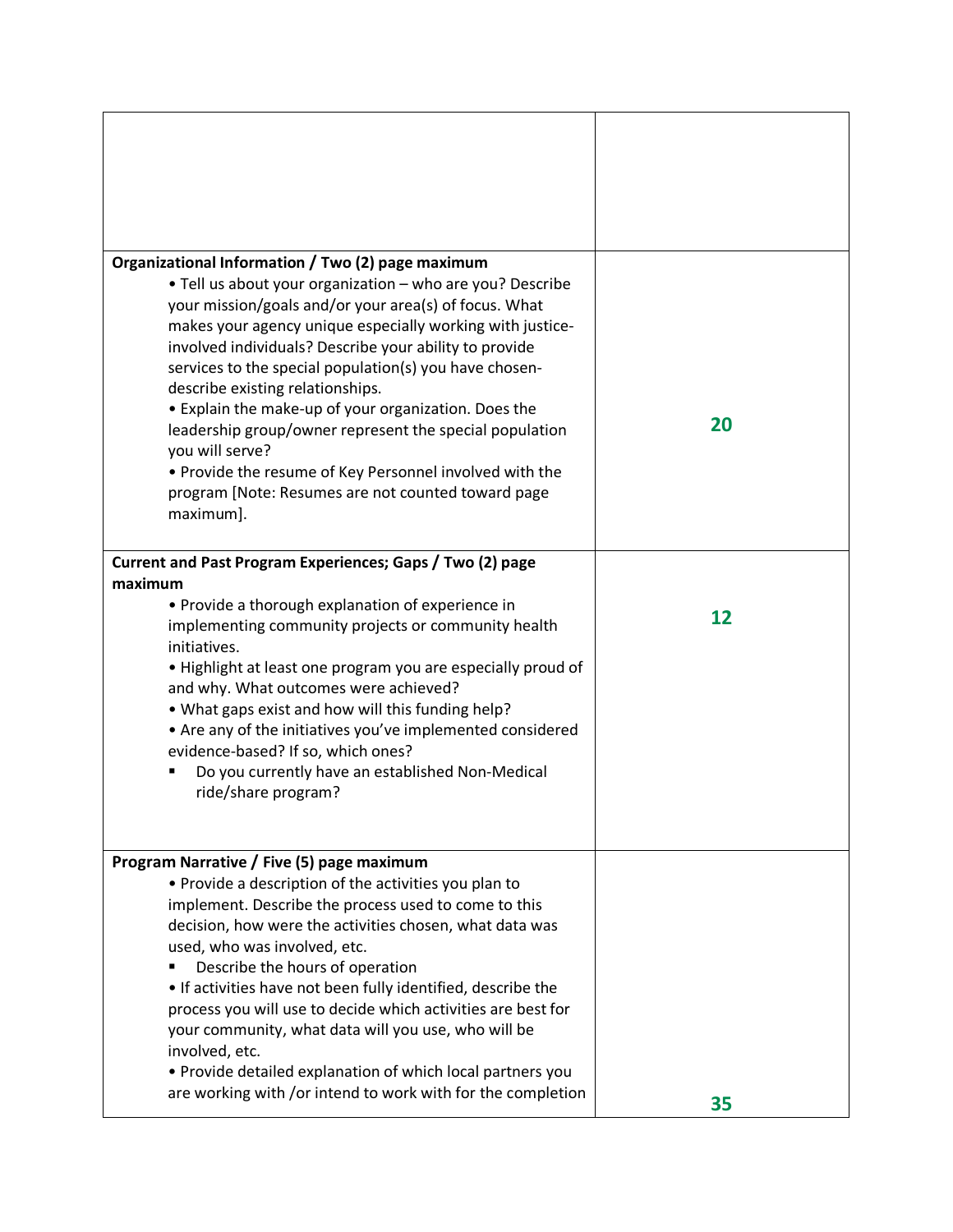| Organizational Information / Two (2) page maximum<br>. Tell us about your organization - who are you? Describe<br>your mission/goals and/or your area(s) of focus. What<br>makes your agency unique especially working with justice-<br>involved individuals? Describe your ability to provide<br>services to the special population(s) you have chosen-<br>describe existing relationships.<br>• Explain the make-up of your organization. Does the<br>leadership group/owner represent the special population<br>you will serve?<br>. Provide the resume of Key Personnel involved with the<br>program [Note: Resumes are not counted toward page<br>maximum]. | 20 |
|------------------------------------------------------------------------------------------------------------------------------------------------------------------------------------------------------------------------------------------------------------------------------------------------------------------------------------------------------------------------------------------------------------------------------------------------------------------------------------------------------------------------------------------------------------------------------------------------------------------------------------------------------------------|----|
| Current and Past Program Experiences; Gaps / Two (2) page                                                                                                                                                                                                                                                                                                                                                                                                                                                                                                                                                                                                        |    |
| maximum<br>• Provide a thorough explanation of experience in<br>implementing community projects or community health<br>initiatives.<br>. Highlight at least one program you are especially proud of<br>and why. What outcomes were achieved?<br>. What gaps exist and how will this funding help?<br>• Are any of the initiatives you've implemented considered<br>evidence-based? If so, which ones?<br>Do you currently have an established Non-Medical<br>ride/share program?                                                                                                                                                                                 | 12 |
| Program Narrative / Five (5) page maximum<br>• Provide a description of the activities you plan to<br>implement. Describe the process used to come to this<br>decision, how were the activities chosen, what data was<br>used, who was involved, etc.<br>Describe the hours of operation<br>. If activities have not been fully identified, describe the<br>process you will use to decide which activities are best for<br>your community, what data will you use, who will be<br>involved, etc.<br>• Provide detailed explanation of which local partners you<br>are working with /or intend to work with for the completion                                   | 35 |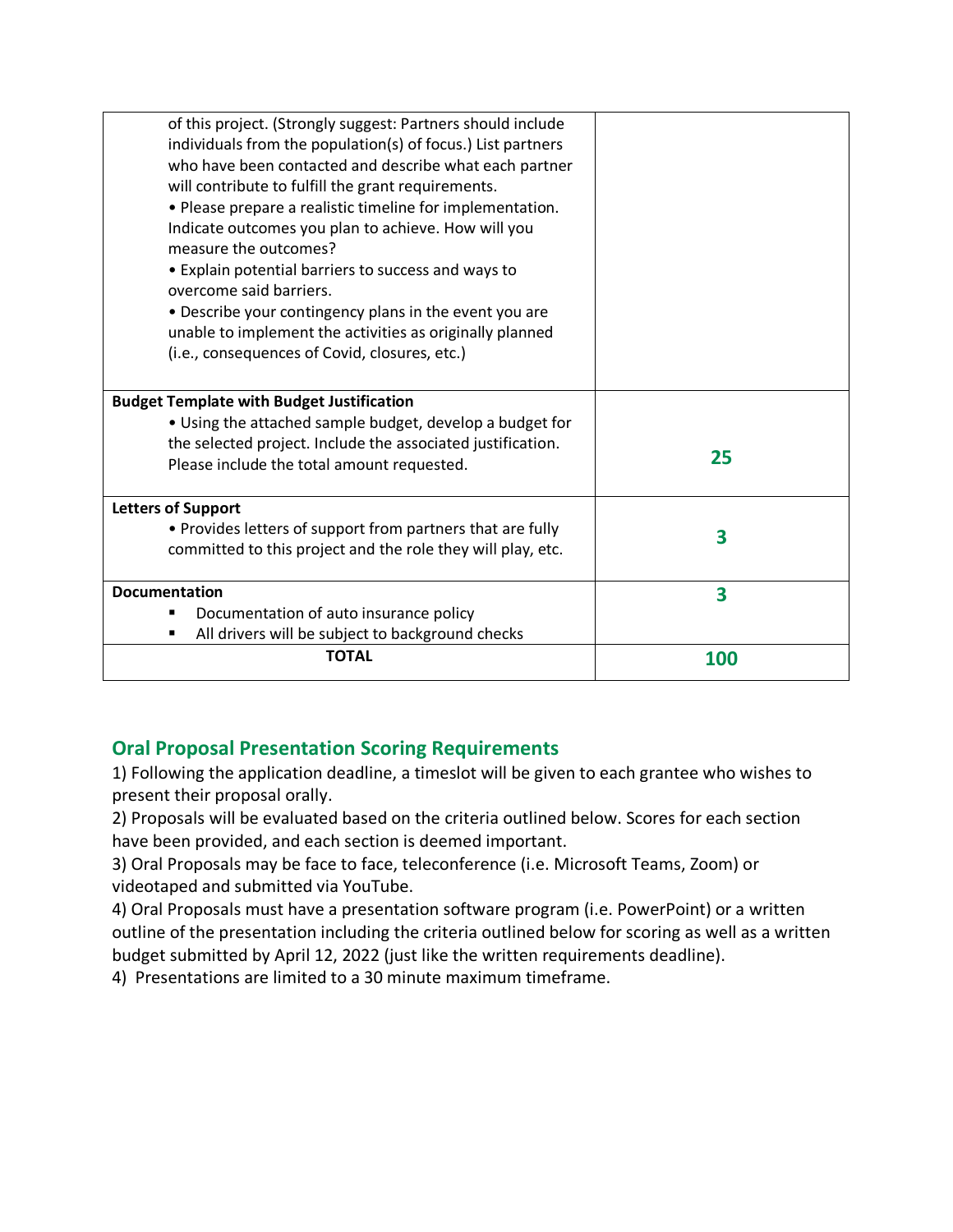| of this project. (Strongly suggest: Partners should include                  |     |
|------------------------------------------------------------------------------|-----|
| individuals from the population(s) of focus.) List partners                  |     |
| who have been contacted and describe what each partner                       |     |
| will contribute to fulfill the grant requirements.                           |     |
| • Please prepare a realistic timeline for implementation.                    |     |
| Indicate outcomes you plan to achieve. How will you<br>measure the outcomes? |     |
| • Explain potential barriers to success and ways to                          |     |
| overcome said barriers.                                                      |     |
| • Describe your contingency plans in the event you are                       |     |
| unable to implement the activities as originally planned                     |     |
| (i.e., consequences of Covid, closures, etc.)                                |     |
|                                                                              |     |
| <b>Budget Template with Budget Justification</b>                             |     |
| • Using the attached sample budget, develop a budget for                     |     |
| the selected project. Include the associated justification.                  |     |
| Please include the total amount requested.                                   | 25  |
|                                                                              |     |
| <b>Letters of Support</b>                                                    |     |
| • Provides letters of support from partners that are fully                   | 3   |
| committed to this project and the role they will play, etc.                  |     |
|                                                                              |     |
| <b>Documentation</b>                                                         | 3   |
| Documentation of auto insurance policy                                       |     |
| All drivers will be subject to background checks                             |     |
| <b>TOTAL</b>                                                                 | 100 |

# **Oral Proposal Presentation Scoring Requirements**

1) Following the application deadline, a timeslot will be given to each grantee who wishes to present their proposal orally.

2) Proposals will be evaluated based on the criteria outlined below. Scores for each section have been provided, and each section is deemed important.

3) Oral Proposals may be face to face, teleconference (i.e. Microsoft Teams, Zoom) or videotaped and submitted via YouTube.

4) Oral Proposals must have a presentation software program (i.e. PowerPoint) or a written outline of the presentation including the criteria outlined below for scoring as well as a written budget submitted by April 12, 2022 (just like the written requirements deadline).

4) Presentations are limited to a 30 minute maximum timeframe.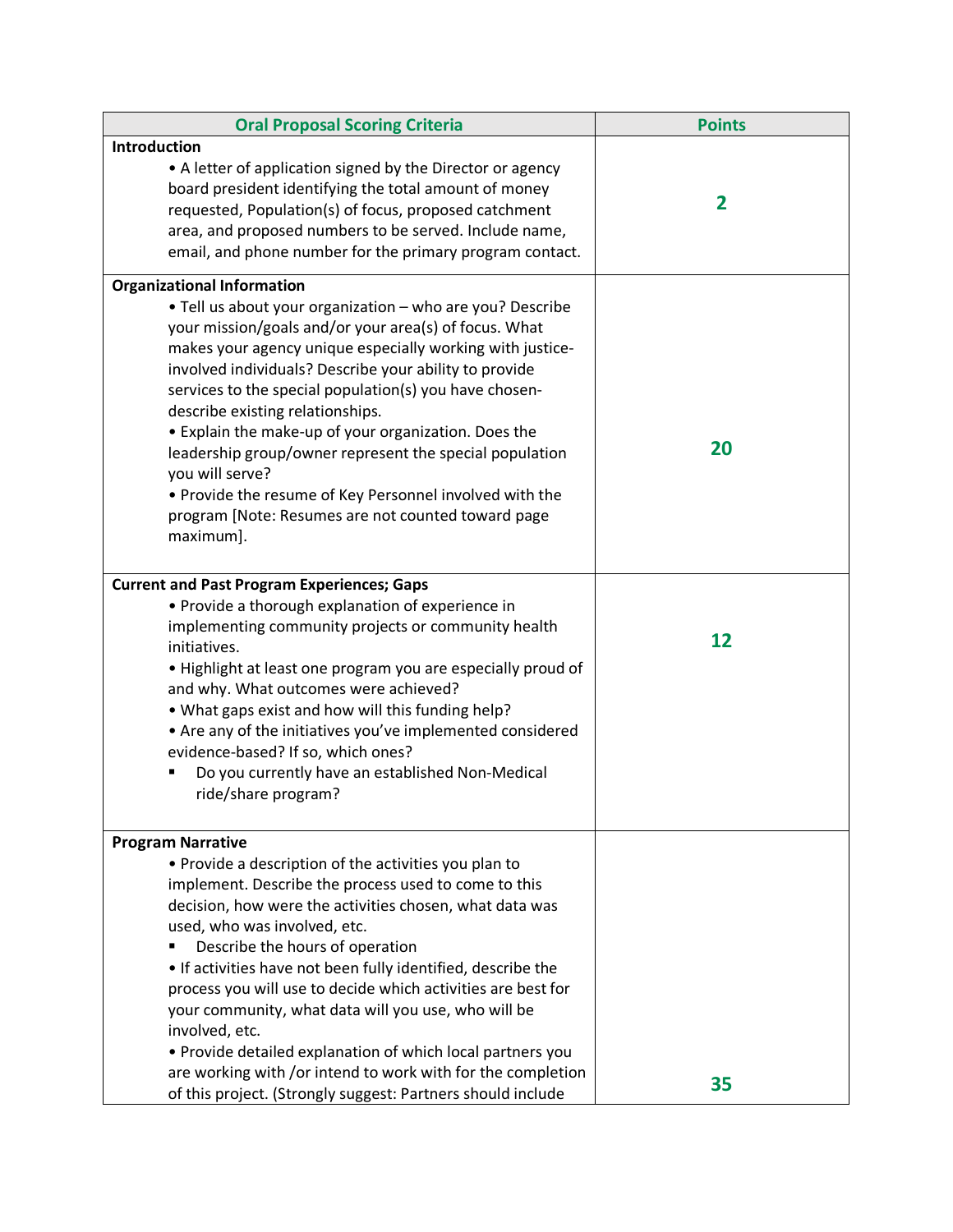| <b>Oral Proposal Scoring Criteria</b>                                                                                                                                                                                                                                                                                                                                                                                                                                                                                                                                                                       | <b>Points</b>  |
|-------------------------------------------------------------------------------------------------------------------------------------------------------------------------------------------------------------------------------------------------------------------------------------------------------------------------------------------------------------------------------------------------------------------------------------------------------------------------------------------------------------------------------------------------------------------------------------------------------------|----------------|
| Introduction                                                                                                                                                                                                                                                                                                                                                                                                                                                                                                                                                                                                |                |
| • A letter of application signed by the Director or agency<br>board president identifying the total amount of money<br>requested, Population(s) of focus, proposed catchment<br>area, and proposed numbers to be served. Include name,<br>email, and phone number for the primary program contact.                                                                                                                                                                                                                                                                                                          | $\overline{2}$ |
| <b>Organizational Information</b>                                                                                                                                                                                                                                                                                                                                                                                                                                                                                                                                                                           |                |
| . Tell us about your organization - who are you? Describe<br>your mission/goals and/or your area(s) of focus. What<br>makes your agency unique especially working with justice-<br>involved individuals? Describe your ability to provide<br>services to the special population(s) you have chosen-<br>describe existing relationships.<br>• Explain the make-up of your organization. Does the<br>leadership group/owner represent the special population<br>you will serve?<br>. Provide the resume of Key Personnel involved with the<br>program [Note: Resumes are not counted toward page<br>maximum]. | 20             |
| <b>Current and Past Program Experiences; Gaps</b>                                                                                                                                                                                                                                                                                                                                                                                                                                                                                                                                                           |                |
| • Provide a thorough explanation of experience in<br>implementing community projects or community health<br>initiatives.<br>. Highlight at least one program you are especially proud of<br>and why. What outcomes were achieved?<br>. What gaps exist and how will this funding help?<br>• Are any of the initiatives you've implemented considered<br>evidence-based? If so, which ones?<br>Do you currently have an established Non-Medical<br>ride/share program?                                                                                                                                       | 12             |
| <b>Program Narrative</b><br>• Provide a description of the activities you plan to                                                                                                                                                                                                                                                                                                                                                                                                                                                                                                                           |                |
| implement. Describe the process used to come to this<br>decision, how were the activities chosen, what data was<br>used, who was involved, etc.<br>Describe the hours of operation<br>• If activities have not been fully identified, describe the<br>process you will use to decide which activities are best for<br>your community, what data will you use, who will be<br>involved, etc.<br>• Provide detailed explanation of which local partners you<br>are working with /or intend to work with for the completion                                                                                    |                |
| of this project. (Strongly suggest: Partners should include                                                                                                                                                                                                                                                                                                                                                                                                                                                                                                                                                 | 35             |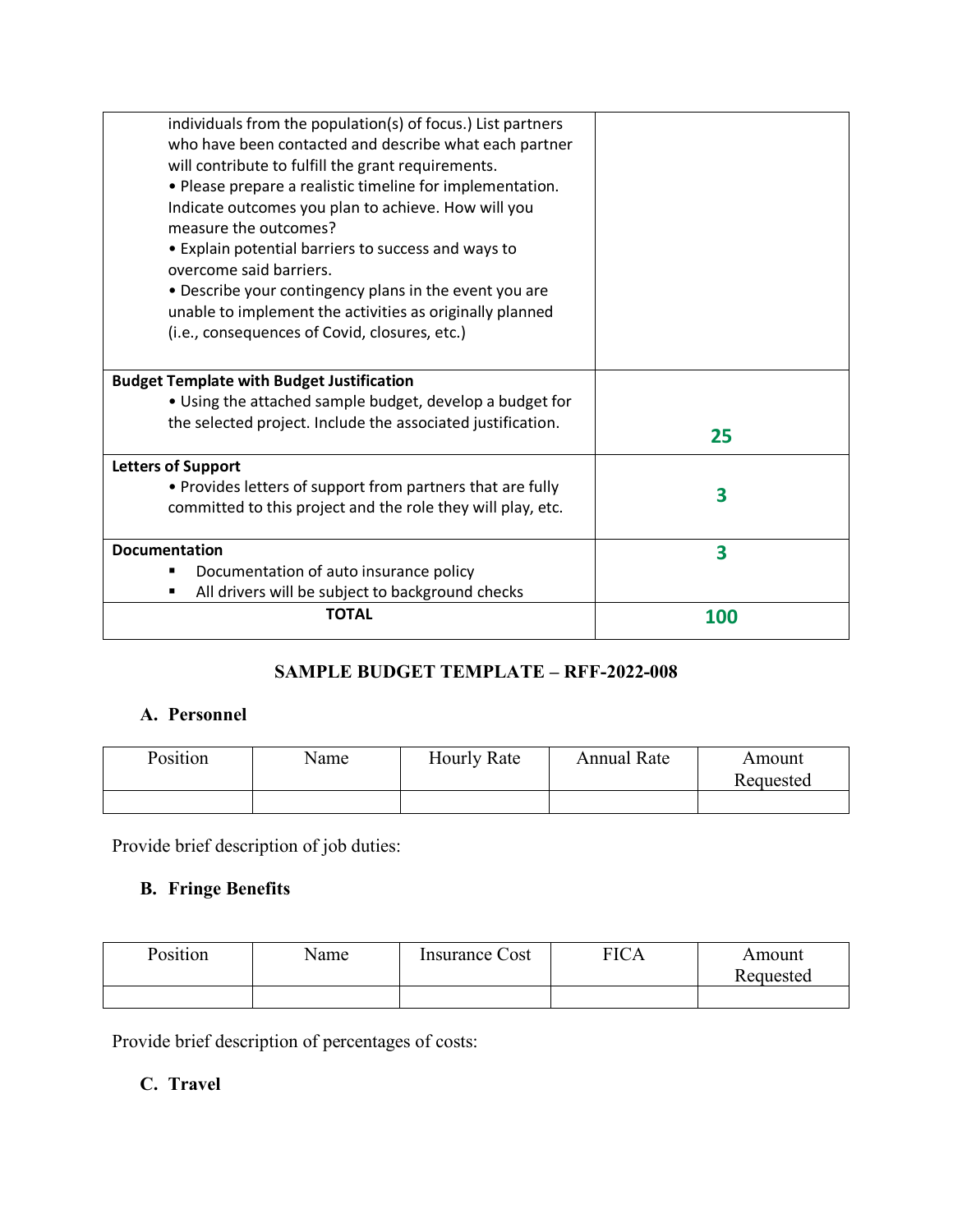| individuals from the population(s) of focus.) List partners |            |
|-------------------------------------------------------------|------------|
| who have been contacted and describe what each partner      |            |
| will contribute to fulfill the grant requirements.          |            |
| • Please prepare a realistic timeline for implementation.   |            |
| Indicate outcomes you plan to achieve. How will you         |            |
| measure the outcomes?                                       |            |
| • Explain potential barriers to success and ways to         |            |
| overcome said barriers.                                     |            |
| • Describe your contingency plans in the event you are      |            |
| unable to implement the activities as originally planned    |            |
| (i.e., consequences of Covid, closures, etc.)               |            |
|                                                             |            |
| <b>Budget Template with Budget Justification</b>            |            |
| • Using the attached sample budget, develop a budget for    |            |
| the selected project. Include the associated justification. |            |
|                                                             | 25         |
| <b>Letters of Support</b>                                   |            |
| • Provides letters of support from partners that are fully  | 3          |
| committed to this project and the role they will play, etc. |            |
|                                                             |            |
| <b>Documentation</b>                                        | 3          |
| Documentation of auto insurance policy                      |            |
| All drivers will be subject to background checks            |            |
| <b>TOTAL</b>                                                | <b>100</b> |
|                                                             |            |

# **SAMPLE BUDGET TEMPLATE – RFF-2022-008**

# **A. Personnel**

| Position | Name | <b>Hourly Rate</b> | <b>Annual Rate</b> | Amount    |
|----------|------|--------------------|--------------------|-----------|
|          |      |                    |                    | Requested |
|          |      |                    |                    |           |

Provide brief description of job duties:

# **B. Fringe Benefits**

| Position | Name | Insurance Cost | $\overline{C}$ ICA | Amount    |
|----------|------|----------------|--------------------|-----------|
|          |      |                |                    | Requested |
|          |      |                |                    |           |

Provide brief description of percentages of costs:

# **C. Travel**